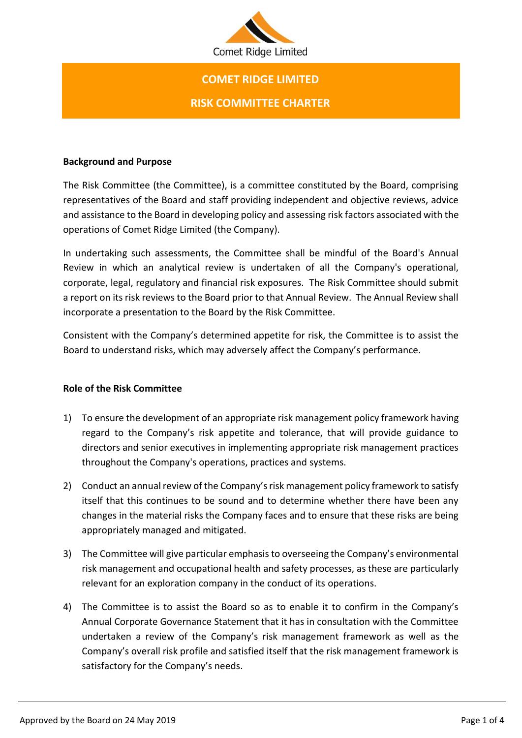

# **COMET RIDGE LIMITED RISK COMMITTEE CHARTER**

### **Background and Purpose**

The Risk Committee (the Committee), is a committee constituted by the Board, comprising representatives of the Board and staff providing independent and objective reviews, advice and assistance to the Board in developing policy and assessing risk factors associated with the operations of Comet Ridge Limited (the Company).

In undertaking such assessments, the Committee shall be mindful of the Board's Annual Review in which an analytical review is undertaken of all the Company's operational, corporate, legal, regulatory and financial risk exposures. The Risk Committee should submit a report on its risk reviews to the Board prior to that Annual Review. The Annual Review shall incorporate a presentation to the Board by the Risk Committee.

Consistent with the Company's determined appetite for risk, the Committee is to assist the Board to understand risks, which may adversely affect the Company's performance.

#### **Role of the Risk Committee**

- 1) To ensure the development of an appropriate risk management policy framework having regard to the Company's risk appetite and tolerance, that will provide guidance to directors and senior executives in implementing appropriate risk management practices throughout the Company's operations, practices and systems.
- 2) Conduct an annual review of the Company's risk management policy framework to satisfy itself that this continues to be sound and to determine whether there have been any changes in the material risks the Company faces and to ensure that these risks are being appropriately managed and mitigated.
- 3) The Committee will give particular emphasis to overseeing the Company's environmental risk management and occupational health and safety processes, as these are particularly relevant for an exploration company in the conduct of its operations.
- 4) The Committee is to assist the Board so as to enable it to confirm in the Company's Annual Corporate Governance Statement that it has in consultation with the Committee undertaken a review of the Company's risk management framework as well as the Company's overall risk profile and satisfied itself that the risk management framework is satisfactory for the Company's needs.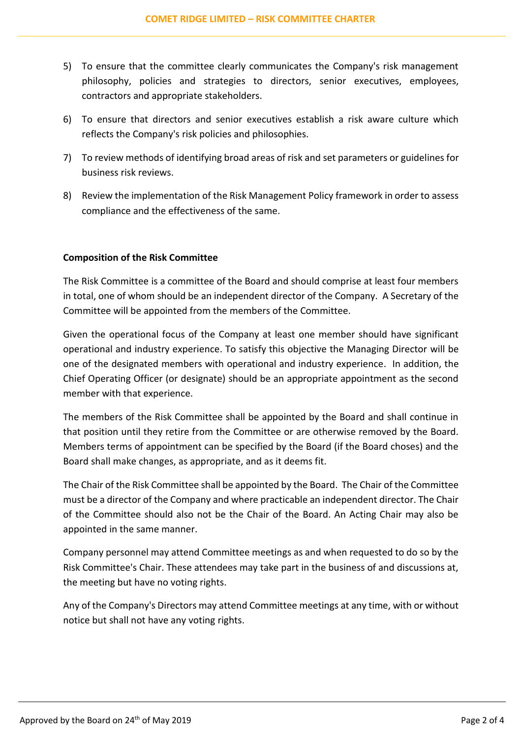- 5) To ensure that the committee clearly communicates the Company's risk management philosophy, policies and strategies to directors, senior executives, employees, contractors and appropriate stakeholders.
- 6) To ensure that directors and senior executives establish a risk aware culture which reflects the Company's risk policies and philosophies.
- 7) To review methods of identifying broad areas of risk and set parameters or guidelines for business risk reviews.
- 8) Review the implementation of the Risk Management Policy framework in order to assess compliance and the effectiveness of the same.

## **Composition of the Risk Committee**

The Risk Committee is a committee of the Board and should comprise at least four members in total, one of whom should be an independent director of the Company. A Secretary of the Committee will be appointed from the members of the Committee.

Given the operational focus of the Company at least one member should have significant operational and industry experience. To satisfy this objective the Managing Director will be one of the designated members with operational and industry experience. In addition, the Chief Operating Officer (or designate) should be an appropriate appointment as the second member with that experience.

The members of the Risk Committee shall be appointed by the Board and shall continue in that position until they retire from the Committee or are otherwise removed by the Board. Members terms of appointment can be specified by the Board (if the Board choses) and the Board shall make changes, as appropriate, and as it deems fit.

The Chair of the Risk Committee shall be appointed by the Board. The Chair of the Committee must be a director of the Company and where practicable an independent director. The Chair of the Committee should also not be the Chair of the Board. An Acting Chair may also be appointed in the same manner.

Company personnel may attend Committee meetings as and when requested to do so by the Risk Committee's Chair. These attendees may take part in the business of and discussions at, the meeting but have no voting rights.

Any of the Company's Directors may attend Committee meetings at any time, with or without notice but shall not have any voting rights.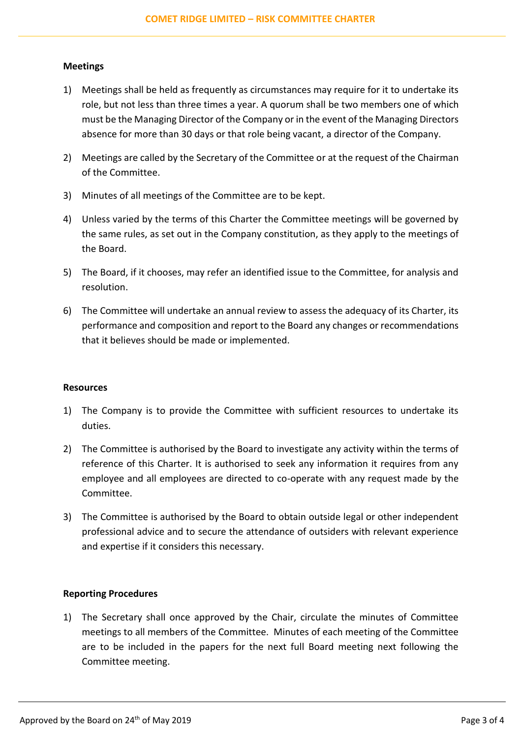#### **Meetings**

- 1) Meetings shall be held as frequently as circumstances may require for it to undertake its role, but not less than three times a year. A quorum shall be two members one of which must be the Managing Director of the Company or in the event of the Managing Directors absence for more than 30 days or that role being vacant, a director of the Company.
- 2) Meetings are called by the Secretary of the Committee or at the request of the Chairman of the Committee.
- 3) Minutes of all meetings of the Committee are to be kept.
- 4) Unless varied by the terms of this Charter the Committee meetings will be governed by the same rules, as set out in the Company constitution, as they apply to the meetings of the Board.
- 5) The Board, if it chooses, may refer an identified issue to the Committee, for analysis and resolution.
- 6) The Committee will undertake an annual review to assess the adequacy of its Charter, its performance and composition and report to the Board any changes or recommendations that it believes should be made or implemented.

#### **Resources**

- 1) The Company is to provide the Committee with sufficient resources to undertake its duties.
- 2) The Committee is authorised by the Board to investigate any activity within the terms of reference of this Charter. It is authorised to seek any information it requires from any employee and all employees are directed to co-operate with any request made by the Committee.
- 3) The Committee is authorised by the Board to obtain outside legal or other independent professional advice and to secure the attendance of outsiders with relevant experience and expertise if it considers this necessary.

#### **Reporting Procedures**

1) The Secretary shall once approved by the Chair, circulate the minutes of Committee meetings to all members of the Committee. Minutes of each meeting of the Committee are to be included in the papers for the next full Board meeting next following the Committee meeting.